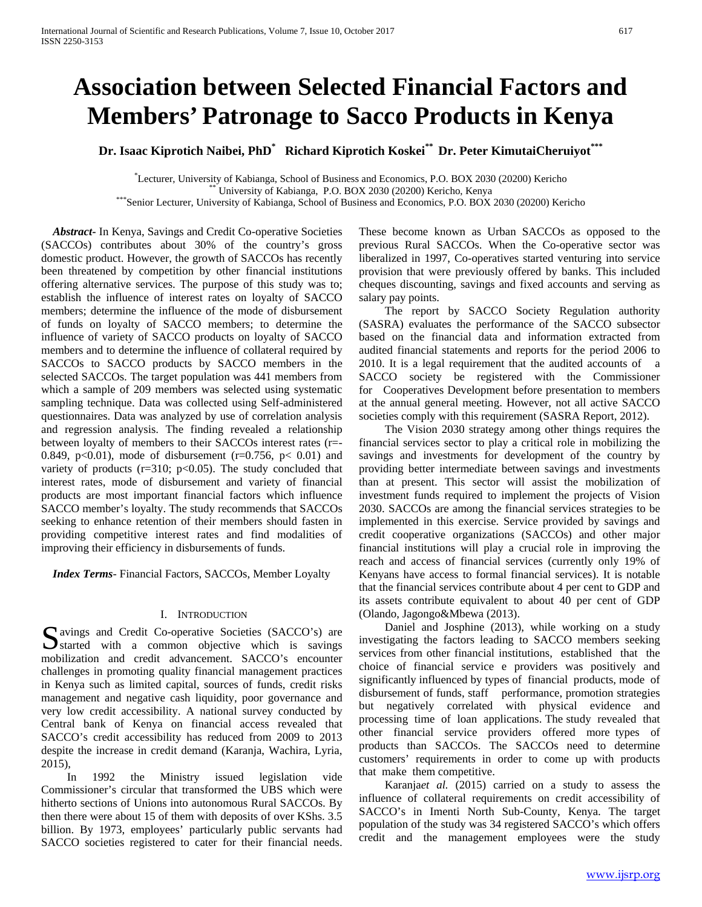# **Association between Selected Financial Factors and Members' Patronage to Sacco Products in Kenya**

**Dr. Isaac Kiprotich Naibei, PhD\* Richard Kiprotich Koskei\*\* Dr. Peter KimutaiCheruiyot\*\*\***

Lecturer, University of Kabianga, School of Business and Economics, P.O. BOX 2030 (20200) Kericho\* <sup>\*\*</sup> University of Kabianga, P.O. BOX 2030 (20200) Kericho, Kenya<br>\*\*\*Senior Lecturer, University of Kabianga, School of Business and Economics, P.O. BOX 2030 (20200) Kericho

 *Abstract***-** In Kenya, Savings and Credit Co-operative Societies (SACCOs) contributes about 30% of the country's gross domestic product. However, the growth of SACCOs has recently been threatened by competition by other financial institutions offering alternative services. The purpose of this study was to; establish the influence of interest rates on loyalty of SACCO members; determine the influence of the mode of disbursement of funds on loyalty of SACCO members; to determine the influence of variety of SACCO products on loyalty of SACCO members and to determine the influence of collateral required by SACCOs to SACCO products by SACCO members in the selected SACCOs. The target population was 441 members from which a sample of 209 members was selected using systematic sampling technique. Data was collected using Self-administered questionnaires. Data was analyzed by use of correlation analysis and regression analysis. The finding revealed a relationship between loyalty of members to their SACCOs interest rates (r=- 0.849, p<0.01), mode of disbursement (r=0.756, p< 0.01) and variety of products ( $r=310$ ;  $p<0.05$ ). The study concluded that interest rates, mode of disbursement and variety of financial products are most important financial factors which influence SACCO member's loyalty. The study recommends that SACCOs seeking to enhance retention of their members should fasten in providing competitive interest rates and find modalities of improving their efficiency in disbursements of funds.

 *Index Terms*- Financial Factors, SACCOs, Member Loyalty

## I. INTRODUCTION

avings and Credit Co-operative Societies (SACCO's) are Savings and Credit Co-operative Societies (SACCO's) are<br>
started with a common objective which is savings mobilization and credit advancement. SACCO's encounter challenges in promoting quality financial management practices in Kenya such as limited capital, sources of funds, credit risks management and negative cash liquidity, poor governance and very low credit accessibility. A national survey conducted by Central bank of Kenya on financial access revealed that SACCO's credit accessibility has reduced from 2009 to 2013 despite the increase in credit demand (Karanja, Wachira, Lyria, 2015),

 In 1992 the Ministry issued legislation vide Commissioner's circular that transformed the UBS which were hitherto sections of Unions into autonomous Rural SACCOs. By then there were about 15 of them with deposits of over KShs. 3.5 billion. By 1973, employees' particularly public servants had SACCO societies registered to cater for their financial needs.

These become known as Urban SACCOs as opposed to the previous Rural SACCOs. When the Co-operative sector was liberalized in 1997, Co-operatives started venturing into service provision that were previously offered by banks. This included cheques discounting, savings and fixed accounts and serving as salary pay points.

 The report by SACCO Society Regulation authority (SASRA) evaluates the performance of the SACCO subsector based on the financial data and information extracted from audited financial statements and reports for the period 2006 to 2010. It is a legal requirement that the audited accounts of a SACCO society be registered with the Commissioner for Cooperatives Development before presentation to members at the annual general meeting. However, not all active SACCO societies comply with this requirement (SASRA Report, 2012).

 The Vision 2030 strategy among other things requires the financial services sector to play a critical role in mobilizing the savings and investments for development of the country by providing better intermediate between savings and investments than at present. This sector will assist the mobilization of investment funds required to implement the projects of Vision 2030. SACCOs are among the financial services strategies to be implemented in this exercise. Service provided by savings and credit cooperative organizations (SACCOs) and other major financial institutions will play a crucial role in improving the reach and access of financial services (currently only 19% of Kenyans have access to formal financial services). It is notable that the financial services contribute about 4 per cent to GDP and its assets contribute equivalent to about 40 per cent of GDP (Olando, Jagongo&Mbewa (2013).

 Daniel and Josphine (2013), while working on a study investigating the factors leading to SACCO members seeking services from other financial institutions, established that the choice of financial service e providers was positively and significantly influenced by types of financial products, mode of disbursement of funds, staff performance, promotion strategies but negatively correlated with physical evidence and processing time of loan applications. The study revealed that other financial service providers offered more types of products than SACCOs. The SACCOs need to determine customers' requirements in order to come up with products that make them competitive.

 Karanja*et al.* (2015) carried on a study to assess the influence of collateral requirements on credit accessibility of SACCO's in Imenti North Sub-County, Kenya. The target population of the study was 34 registered SACCO's which offers credit and the management employees were the study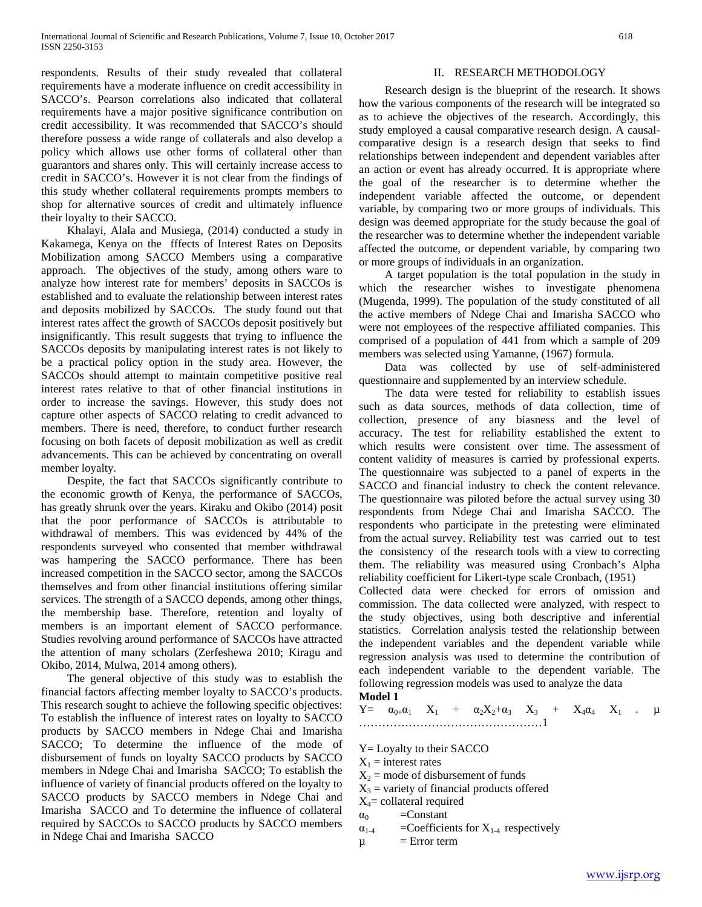respondents. Results of their study revealed that collateral requirements have a moderate influence on credit accessibility in SACCO's. Pearson correlations also indicated that collateral requirements have a major positive significance contribution on credit accessibility. It was recommended that SACCO's should therefore possess a wide range of collaterals and also develop a policy which allows use other forms of collateral other than guarantors and shares only. This will certainly increase access to credit in SACCO's. However it is not clear from the findings of this study whether collateral requirements prompts members to shop for alternative sources of credit and ultimately influence their loyalty to their SACCO.

 Khalayi, Alala and Musiega, (2014) conducted a study in Kakamega, Kenya on the fffects of Interest Rates on Deposits Mobilization among SACCO Members using a comparative approach. The objectives of the study, among others ware to analyze how interest rate for members' deposits in SACCOs is established and to evaluate the relationship between interest rates and deposits mobilized by SACCOs. The study found out that interest rates affect the growth of SACCOs deposit positively but insignificantly. This result suggests that trying to influence the SACCOs deposits by manipulating interest rates is not likely to be a practical policy option in the study area. However, the SACCOs should attempt to maintain competitive positive real interest rates relative to that of other financial institutions in order to increase the savings. However, this study does not capture other aspects of SACCO relating to credit advanced to members. There is need, therefore, to conduct further research focusing on both facets of deposit mobilization as well as credit advancements. This can be achieved by concentrating on overall member loyalty.

 Despite, the fact that SACCOs significantly contribute to the economic growth of Kenya, the performance of SACCOs, has greatly shrunk over the years. Kiraku and Okibo (2014) posit that the poor performance of SACCOs is attributable to withdrawal of members. This was evidenced by 44% of the respondents surveyed who consented that member withdrawal was hampering the SACCO performance. There has been increased competition in the SACCO sector, among the SACCOs themselves and from other financial institutions offering similar services. The strength of a SACCO depends, among other things, the membership base. Therefore, retention and loyalty of members is an important element of SACCO performance. Studies revolving around performance of SACCOs have attracted the attention of many scholars (Zerfeshewa 2010; Kiragu and Okibo, 2014, Mulwa, 2014 among others).

 The general objective of this study was to establish the financial factors affecting member loyalty to SACCO's products. This research sought to achieve the following specific objectives: To establish the influence of interest rates on loyalty to SACCO products by SACCO members in Ndege Chai and Imarisha SACCO; To determine the influence of the mode of disbursement of funds on loyalty SACCO products by SACCO members in Ndege Chai and Imarisha SACCO; To establish the influence of variety of financial products offered on the loyalty to SACCO products by SACCO members in Ndege Chai and Imarisha SACCO and To determine the influence of collateral required by SACCOs to SACCO products by SACCO members in Ndege Chai and Imarisha SACCO

# II. RESEARCH METHODOLOGY

 Research design is the blueprint of the research. It shows how the various components of the research will be integrated so as to achieve the objectives of the research. Accordingly, this study employed a causal comparative research design. A causalcomparative design is a research design that seeks to find relationships between independent and dependent variables after an action or event has already occurred. It is appropriate where the goal of the researcher is to determine whether the independent variable affected the outcome, or dependent variable, by comparing two or more groups of individuals. This design was deemed appropriate for the study because the goal of the researcher was to determine whether the independent variable affected the outcome, or dependent variable, by comparing two or more groups of individuals in an organization.

 A target population is the total population in the study in which the researcher wishes to investigate phenomena (Mugenda, 1999). The population of the study constituted of all the active members of Ndege Chai and Imarisha SACCO who were not employees of the respective affiliated companies. This comprised of a population of 441 from which a sample of 209 members was selected using Yamanne, (1967) formula.

 Data was collected by use of self-administered questionnaire and supplemented by an interview schedule.

 The data were tested for reliability to establish issues such as data sources, methods of data collection, time of collection, presence of any biasness and the level of accuracy. The test for reliability established the extent to which results were consistent over time. The assessment of content validity of measures is carried by professional experts. The questionnaire was subjected to a panel of experts in the SACCO and financial industry to check the content relevance. The questionnaire was piloted before the actual survey using 30 respondents from Ndege Chai and Imarisha SACCO. The respondents who participate in the pretesting were eliminated from the actual survey. Reliability test was carried out to test the consistency of the research tools with a view to correcting them. The reliability was measured using Cronbach's Alpha reliability coefficient for Likert-type scale Cronbach, (1951)

Collected data were checked for errors of omission and commission. The data collected were analyzed, with respect to the study objectives, using both descriptive and inferential statistics. Correlation analysis tested the relationship between the independent variables and the dependent variable while regression analysis was used to determine the contribution of each independent variable to the dependent variable. The following regression models was used to analyze the data

## **Model 1**

 $Y = \alpha_{0+} \alpha_1 X_1 + \alpha_2 X_2 + \alpha_3 X_3 + X_4 \alpha_4 X_1 + \mu$ …………………………………………1

- Y= Loyalty to their SACCO
- $X_1$  = interest rates
- $X_2$  = mode of disbursement of funds
- $X_3$  = variety of financial products offered
- $X_4$ = collateral required
- $\alpha_0$  =Constant
- $\alpha_{1-4}$  =Coefficients for  $X_{1-4}$  respectively
- $\mu$  = Error term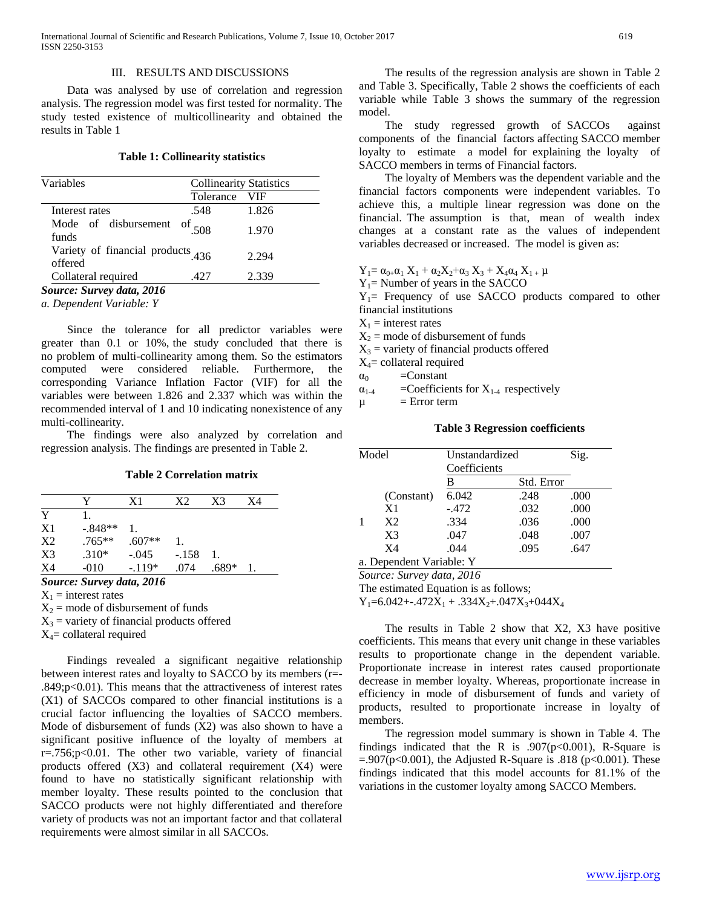#### III. RESULTS AND DISCUSSIONS

 Data was analysed by use of correlation and regression analysis. The regression model was first tested for normality. The study tested existence of multicollinearity and obtained the results in Table 1

## **Table 1: Collinearity statistics**

| Variables                                    | <b>Collinearity Statistics</b>  |       |  |
|----------------------------------------------|---------------------------------|-------|--|
|                                              | Tolerance                       | VIF   |  |
| Interest rates                               | .548                            | 1.826 |  |
| Mode of disbursement<br>funds                | $\frac{\text{of}}{\text{.508}}$ | 1.970 |  |
| Variety of financial products 436<br>offered |                                 | 2.294 |  |
| Collateral required                          | .427                            | 2.339 |  |

*Source: Survey data, 2016*

*a. Dependent Variable: Y*

 Since the tolerance for all predictor variables were greater than 0.1 or 10%, the study concluded that there is no problem of multi-collinearity among them. So the estimators computed were considered reliable. Furthermore, the corresponding Variance Inflation Factor (VIF) for all the variables were between 1.826 and 2.337 which was within the recommended interval of 1 and 10 indicating nonexistence of any multi-collinearity.

 The findings were also analyzed by correlation and regression analysis. The findings are presented in Table 2.

#### **Table 2 Correlation matrix**

|           | X1       | X2      | X3    | X4 |
|-----------|----------|---------|-------|----|
|           |          |         |       |    |
| $-.848**$ |          |         |       |    |
| $.765**$  | $.607**$ |         |       |    |
| $.310*$   | $-.045$  | $-.158$ |       |    |
| $-010$    | $-.119*$ | .074    | .689* |    |
|           |          |         |       |    |

*Source: Survey data, 2016*

 $X_1$  = interest rates

 $X_2$  = mode of disbursement of funds

 $X_3$  = variety of financial products offered

 $X_4$ = collateral required

 Findings revealed a significant negaitive relationship between interest rates and loyalty to SACCO by its members (r=- .849;p<0.01). This means that the attractiveness of interest rates (X1) of SACCOs compared to other financial institutions is a crucial factor influencing the loyalties of SACCO members. Mode of disbursement of funds (X2) was also shown to have a significant positive influence of the loyalty of members at r=.756;p<0.01. The other two variable, variety of financial products offered (X3) and collateral requirement (X4) were found to have no statistically significant relationship with member loyalty. These results pointed to the conclusion that SACCO products were not highly differentiated and therefore variety of products was not an important factor and that collateral requirements were almost similar in all SACCOs.

 The results of the regression analysis are shown in Table 2 and Table 3. Specifically, Table 2 shows the coefficients of each variable while Table 3 shows the summary of the regression model.

 The study regressed growth of SACCOs against components of the financial factors affecting SACCO member loyalty to estimate a model for explaining the loyalty of SACCO members in terms of Financial factors.

 The loyalty of Members was the dependent variable and the financial factors components were independent variables. To achieve this, a multiple linear regression was done on the financial. The assumption is that, mean of wealth index changes at a constant rate as the values of independent variables decreased or increased. The model is given as:

 $Y_1 = \alpha_{0+} \alpha_1 X_1 + \alpha_2 X_2 + \alpha_3 X_3 + X_4 \alpha_4 X_1 + \mu$ 

 $Y_1$ = Number of years in the SACCO

 $Y_1$ = Frequency of use SACCO products compared to other financial institutions

 $X_1$  = interest rates

 $X_2$  = mode of disbursement of funds

 $X_3$  = variety of financial products offered

 $X_4$ = collateral required

 $\alpha_0$  =Constant

 $\alpha_{1-4}$  =Coefficients for  $X_{1-4}$  respectively

 $\mu$  = Error term

|  |  | <b>Table 3 Regression coefficients</b> |
|--|--|----------------------------------------|
|--|--|----------------------------------------|

| Model |                          | Unstandardized<br>Coefficients | Sig.       |      |
|-------|--------------------------|--------------------------------|------------|------|
|       |                          | В                              | Std. Error |      |
|       | (Constant)               | 6.042                          | .248       | .000 |
|       | X <sub>1</sub>           | $-.472$                        | .032       | .000 |
|       | X <sub>2</sub>           | .334                           | .036       | .000 |
|       | X <sub>3</sub>           | .047                           | .048       | .007 |
|       | X4                       | .044                           | .095       | .647 |
|       | a. Dependent Variable: Y |                                |            |      |

*Source: Survey data, 2016*

The estimated Equation is as follows;

 $Y_1=6.042+.472X_1+.334X_2+.047X_3+044X_4$ 

 The results in Table 2 show that X2, X3 have positive coefficients. This means that every unit change in these variables results to proportionate change in the dependent variable. Proportionate increase in interest rates caused proportionate decrease in member loyalty. Whereas, proportionate increase in efficiency in mode of disbursement of funds and variety of products, resulted to proportionate increase in loyalty of members.

 The regression model summary is shown in Table 4. The findings indicated that the R is .907( $p<0.001$ ), R-Square is  $= 0.907(p < 0.001)$ , the Adjusted R-Square is .818 (p $< 0.001$ ). These findings indicated that this model accounts for 81.1% of the variations in the customer loyalty among SACCO Members.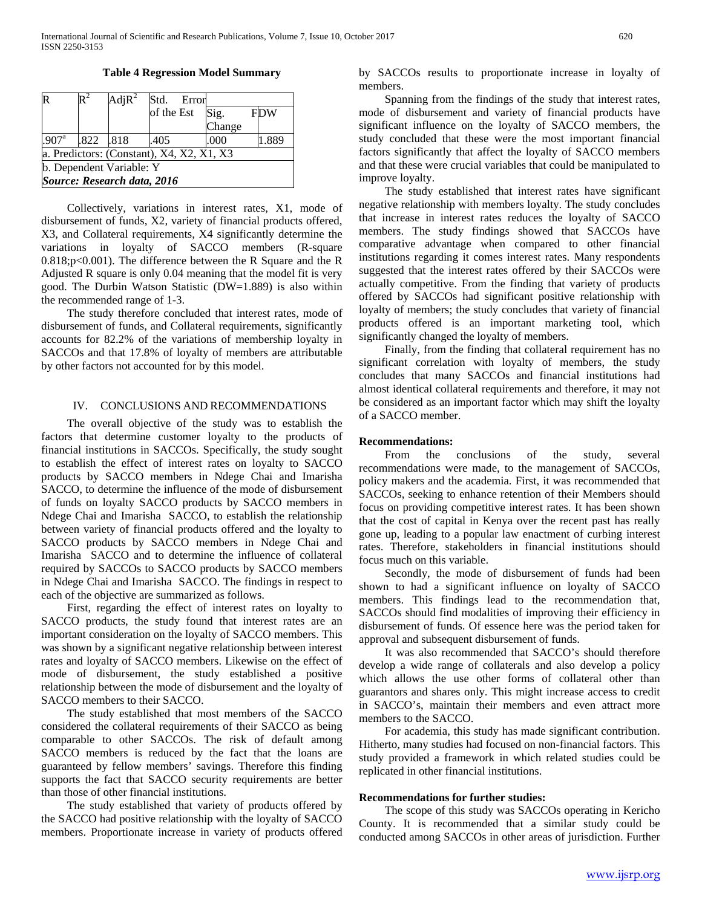**Table 4 Regression Model Summary**

| R                                         |      | $\text{AdjR}^2$ |            | Std. Error |        |  |            |
|-------------------------------------------|------|-----------------|------------|------------|--------|--|------------|
|                                           |      |                 | of the Est |            | Sig.   |  | <b>FDW</b> |
|                                           |      |                 |            |            | Change |  |            |
| .907 <sup>a</sup>                         | .822 | .818            | .405       |            | .000   |  | .889       |
| a. Predictors: (Constant), X4, X2, X1, X3 |      |                 |            |            |        |  |            |
| b. Dependent Variable: Y                  |      |                 |            |            |        |  |            |
| Source: Research data, 2016               |      |                 |            |            |        |  |            |

 Collectively, variations in interest rates, X1, mode of disbursement of funds, X2, variety of financial products offered, X3, and Collateral requirements, X4 significantly determine the variations in loyalty of SACCO members (R-square 0.818;p<0.001). The difference between the R Square and the R Adjusted R square is only 0.04 meaning that the model fit is very good. The Durbin Watson Statistic (DW=1.889) is also within the recommended range of 1-3.

 The study therefore concluded that interest rates, mode of disbursement of funds, and Collateral requirements, significantly accounts for 82.2% of the variations of membership loyalty in SACCOs and that 17.8% of loyalty of members are attributable by other factors not accounted for by this model.

## IV. CONCLUSIONS AND RECOMMENDATIONS

 The overall objective of the study was to establish the factors that determine customer loyalty to the products of financial institutions in SACCOs. Specifically, the study sought to establish the effect of interest rates on loyalty to SACCO products by SACCO members in Ndege Chai and Imarisha SACCO, to determine the influence of the mode of disbursement of funds on loyalty SACCO products by SACCO members in Ndege Chai and Imarisha SACCO, to establish the relationship between variety of financial products offered and the loyalty to SACCO products by SACCO members in Ndege Chai and Imarisha SACCO and to determine the influence of collateral required by SACCOs to SACCO products by SACCO members in Ndege Chai and Imarisha SACCO. The findings in respect to each of the objective are summarized as follows.

 First, regarding the effect of interest rates on loyalty to SACCO products, the study found that interest rates are an important consideration on the loyalty of SACCO members. This was shown by a significant negative relationship between interest rates and loyalty of SACCO members. Likewise on the effect of mode of disbursement, the study established a positive relationship between the mode of disbursement and the loyalty of SACCO members to their SACCO.

 The study established that most members of the SACCO considered the collateral requirements of their SACCO as being comparable to other SACCOs. The risk of default among SACCO members is reduced by the fact that the loans are guaranteed by fellow members' savings. Therefore this finding supports the fact that SACCO security requirements are better than those of other financial institutions.

 The study established that variety of products offered by the SACCO had positive relationship with the loyalty of SACCO members. Proportionate increase in variety of products offered by SACCOs results to proportionate increase in loyalty of members.

 Spanning from the findings of the study that interest rates, mode of disbursement and variety of financial products have significant influence on the loyalty of SACCO members, the study concluded that these were the most important financial factors significantly that affect the loyalty of SACCO members and that these were crucial variables that could be manipulated to improve loyalty.

 The study established that interest rates have significant negative relationship with members loyalty. The study concludes that increase in interest rates reduces the loyalty of SACCO members. The study findings showed that SACCOs have comparative advantage when compared to other financial institutions regarding it comes interest rates. Many respondents suggested that the interest rates offered by their SACCOs were actually competitive. From the finding that variety of products offered by SACCOs had significant positive relationship with loyalty of members; the study concludes that variety of financial products offered is an important marketing tool, which significantly changed the loyalty of members.

 Finally, from the finding that collateral requirement has no significant correlation with loyalty of members, the study concludes that many SACCOs and financial institutions had almost identical collateral requirements and therefore, it may not be considered as an important factor which may shift the loyalty of a SACCO member.

## **Recommendations:**

 From the conclusions of the study, several recommendations were made, to the management of SACCOs, policy makers and the academia. First, it was recommended that SACCOs, seeking to enhance retention of their Members should focus on providing competitive interest rates. It has been shown that the cost of capital in Kenya over the recent past has really gone up, leading to a popular law enactment of curbing interest rates. Therefore, stakeholders in financial institutions should focus much on this variable.

 Secondly, the mode of disbursement of funds had been shown to had a significant influence on loyalty of SACCO members. This findings lead to the recommendation that, SACCOs should find modalities of improving their efficiency in disbursement of funds. Of essence here was the period taken for approval and subsequent disbursement of funds.

 It was also recommended that SACCO's should therefore develop a wide range of collaterals and also develop a policy which allows the use other forms of collateral other than guarantors and shares only. This might increase access to credit in SACCO's, maintain their members and even attract more members to the SACCO.

 For academia, this study has made significant contribution. Hitherto, many studies had focused on non-financial factors. This study provided a framework in which related studies could be replicated in other financial institutions.

## **Recommendations for further studies:**

 The scope of this study was SACCOs operating in Kericho County. It is recommended that a similar study could be conducted among SACCOs in other areas of jurisdiction. Further